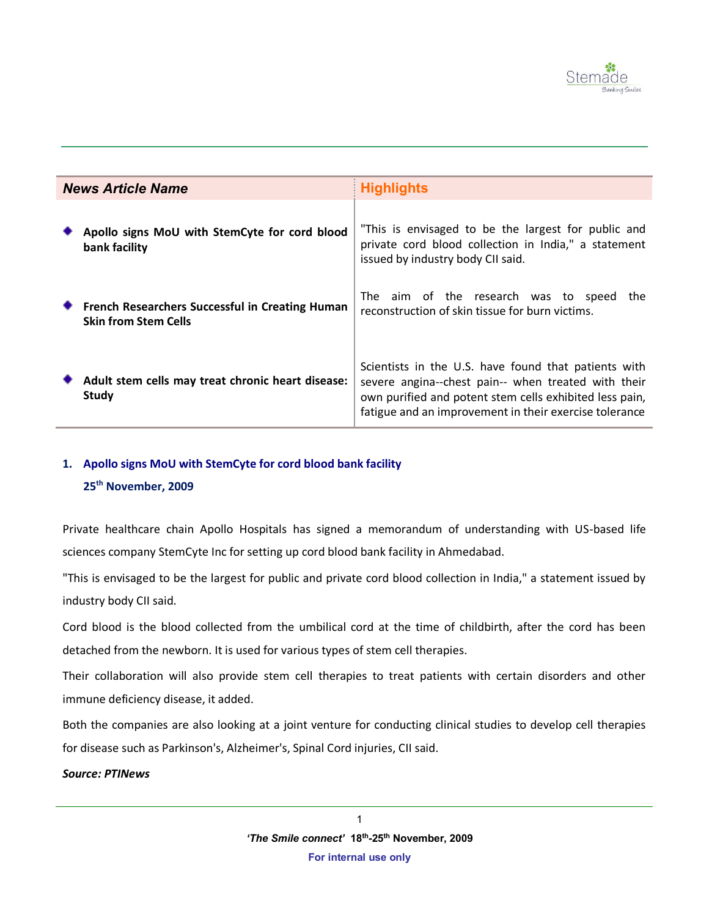

| <b>News Article Name</b> |                                                                                | <b>Highlights</b>                                                                                                                                                                                                                |
|--------------------------|--------------------------------------------------------------------------------|----------------------------------------------------------------------------------------------------------------------------------------------------------------------------------------------------------------------------------|
|                          | Apollo signs MoU with StemCyte for cord blood<br>bank facility                 | "This is envisaged to be the largest for public and<br>private cord blood collection in India," a statement<br>issued by industry body CII said.                                                                                 |
|                          | French Researchers Successful in Creating Human<br><b>Skin from Stem Cells</b> | The aim of the research was to speed<br>the<br>reconstruction of skin tissue for burn victims.                                                                                                                                   |
|                          | Adult stem cells may treat chronic heart disease:<br>Study                     | Scientists in the U.S. have found that patients with<br>severe angina--chest pain-- when treated with their<br>own purified and potent stem cells exhibited less pain,<br>fatigue and an improvement in their exercise tolerance |

# **1. Apollo signs MoU with StemCyte for cord blood bank facility 25th November, 2009**

Private healthcare chain Apollo Hospitals has signed a memorandum of understanding with US-based life sciences company StemCyte Inc for setting up cord blood bank facility in Ahmedabad.

"This is envisaged to be the largest for public and private cord blood collection in India," a statement issued by industry body CII said.

Cord blood is the blood collected from the umbilical cord at the time of childbirth, after the cord has been detached from the newborn. It is used for various types of stem cell therapies.

Their collaboration will also provide stem cell therapies to treat patients with certain disorders and other immune deficiency disease, it added.

Both the companies are also looking at a joint venture for conducting clinical studies to develop cell therapies for disease such as Parkinson's, Alzheimer's, Spinal Cord injuries, CII said.

### *Source: PTINews*

1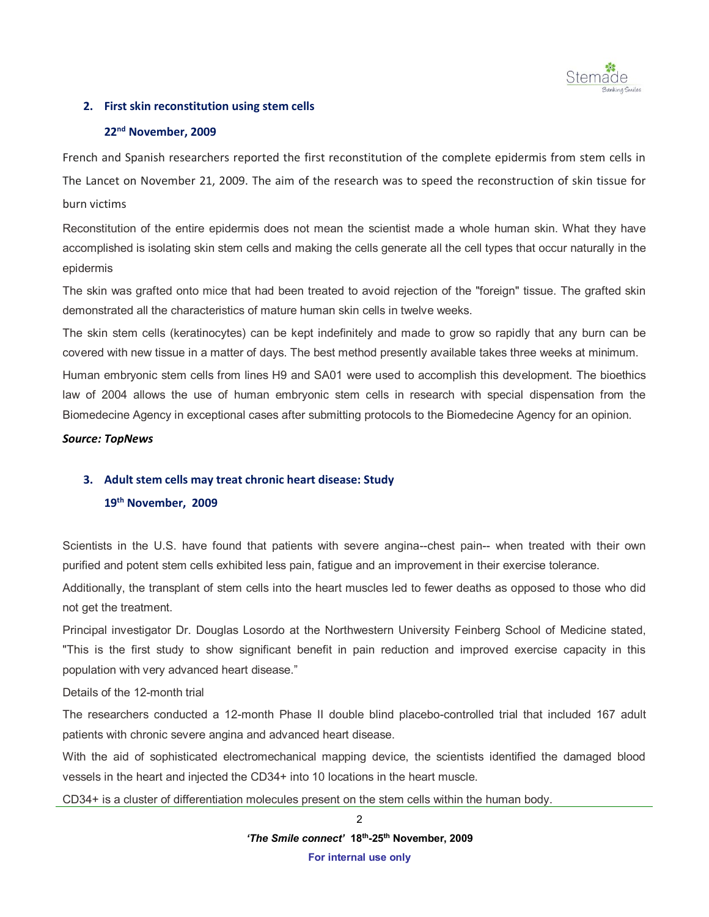

## **2. First skin reconstitution using stem cells**

# **22 nd November, 2009**

French and Spanish researchers reported the first reconstitution of the complete epidermis from stem cells in The Lancet on November 21, 2009. The aim of the research was to speed the reconstruction of skin tissue for burn victims

Reconstitution of the entire epidermis does not mean the scientist made a whole human skin. What they have accomplished is isolating skin stem cells and making the cells generate all the cell types that occur naturally in the epidermis

The skin was grafted onto mice that had been treated to avoid rejection of the "foreign" tissue. The grafted skin demonstrated all the characteristics of mature human skin cells in twelve weeks.

The skin stem cells (keratinocytes) can be kept indefinitely and made to grow so rapidly that any burn can be covered with new tissue in a matter of days. The best method presently available takes three weeks at minimum.

Human embryonic stem cells from lines H9 and SA01 were used to accomplish this development. The bioethics law of 2004 allows the use of human embryonic stem cells in research with special dispensation from the Biomedecine Agency in exceptional cases after submitting protocols to the Biomedecine Agency for an opinion.

*Source: TopNews*

### **3. Adult stem cells may treat chronic heart disease: Study**

## **19 th November, 2009**

Scientists in the U.S. have found that patients with severe angina--chest pain-- when treated with their own purified and potent stem cells exhibited less pain, fatigue and an improvement in their exercise tolerance.

Additionally, the transplant of stem cells into the heart muscles led to fewer deaths as opposed to those who did not get the treatment.

Principal investigator Dr. Douglas Losordo at the Northwestern University Feinberg School of Medicine stated, "This is the first study to show significant benefit in pain reduction and improved exercise capacity in this population with very advanced heart disease."

### Details of the 12-month trial

The researchers conducted a 12-month Phase II double blind placebo-controlled trial that included 167 adult patients with chronic severe angina and advanced heart disease.

With the aid of sophisticated electromechanical mapping device, the scientists identified the damaged blood vessels in the heart and injected the CD34+ into 10 locations in the heart muscle.

CD34+ is a cluster of differentiation molecules present on the stem cells within the human body.